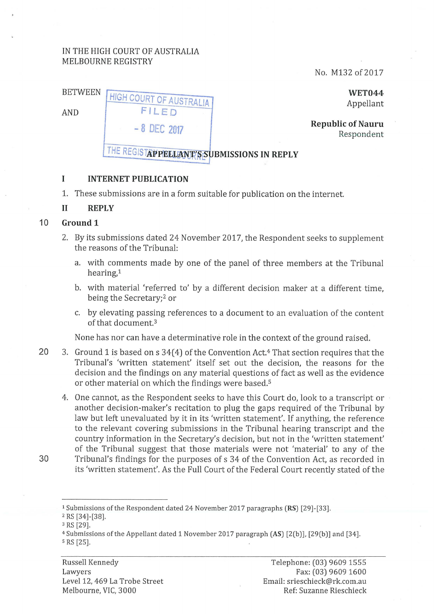# IN THE HIGH COURT OF AUSTRALIA MELBOURNE REGISTRY

HIGH COURT OF AUSTRALIA FILED

No. M132 of 2017

BETWEEN

AND

**WET044**  Appellant

**Republic of Nauru 1986**<br> **Republic of Nauru 1986**<br>
Respondent

THE REGISTAPPELLANT'S SUBMISSIONS IN REPLY

### **I INTERNET PUBLICATION**

1. These submissions are in a form suitable for publication on the internet.

### **11 REPLY**

## 10 **Ground 1**

- 2. By its submissions dated 24 November 2017, the Respondent seeks to supplement the reasons of the Tribunal:
	- a. with comments made by one of the panel of three members at the Tribunal hearing,<sup>1</sup>
	- b. with material 'referred to' by a different decision maker at a different time, being the Secretary;<sup>2</sup> or
	- c. by elevating passing references to a document to an evaluation of the content of that document. 3

None has nor can have a determinative role in the context of the ground raised.

- 20 3. Ground 1 is based on s  $34(4)$  of the Convention Act.<sup>4</sup> That section requires that the Tribunal's 'written statement' itself set out the decision, the reasons for the decision and the findings on any material questions of fact as well as the evidence or other material on which the findings were based.<sup>5</sup>
	- 4. One cannot, as the Respondent seeks to have this Court do, look to a transcript or another decision-maker's recitation to plug the gaps required of the Tribunal by law but left unevaluated by it in its 'written statement'. If anything, the reference to the relevant covering submissions in the Tribunal hearing transcript and the country information in the Secretary's decision, but not in the 'written statement' of the Tribunal suggest that those materials were not 'material' to any of the
- 30 Tribunal's findings for the purposes of s 34 of the Convention Act, as recorded in its 'written statement'. As the Full Court of the Federal Court recently stated of the

- $2$  RS [34]-[38].<br> $3$  RS [29].
- 

<sup>1</sup> Submissions of the Respondent dated 24 November 2017 paragraphs (RS) [29]-[33].

<sup>4</sup>Submissions of the Appellant dated 1 November 2017 paragraph (AS) [2(b)], [29(b)] and [34]. s RS [25].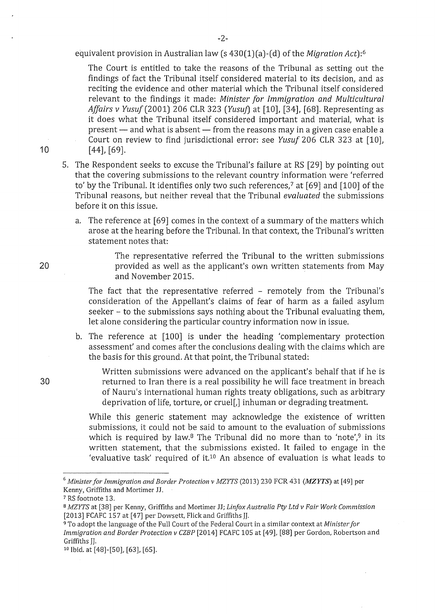equivalent provision in Australian law (s 430(1)(a)-(d) of the *Migration Act):6* 

The Court is entitled to take the reasons of the Tribunal as setting out the findings of fact the Tribunal itself considered material to its decision, and as reciting the evidence and other material which the Tribunal itself considered relevant to the findings it made: *Minister for Immigration and Multicultural Affairs v Yusuf(2001)* 206 CLR 323 *(Yusuj)* at *[10],* [34], [68]. Representing as it does what the Tribunal itself considered important and material, what is  $present$  and what is absent  $-$  from the reasons may in a given case enable a Court on review to find jurisdictional error: see *Yusuf* 206 CLR 323 at [10], [ 44], [69].

- 5. The Respondent seeks to excuse the Tribunal's failure at RS [29] by pointing out that the covering submissions to the relevant country information were 'referred to' by the Tribunal. It identifies only two such references,<sup>7</sup> at [69] and [100] of the Tribunal reasons, but neither reveal that the Tribunal *evaluated* the submissions before it on this issue.
	- a. The reference at [69] comes in the context of a summary of the matters which arose at the hearing before the Tribunal. In that context, the Tribunal's written statement notes that:

The representative referred the Tribunal to the written submissions provided as well as the applicant's own written statements from May and November 2015.

The fact that the representative referred - remotely from the Tribunal's consideration of the Appellant's claims of fear of harm as a failed asylum seeker - to the submissions says nothing about the Tribunal evaluating them, let alone considering the particular country information now in issue.

b. The reference at [100] is under the heading 'complementary protection assessment' and comes after the conclusions dealing with the claims which are the basis for this ground. At that point, the Tribunal stated:

Written submissions were advanced on the applicant's behalf that if he is returned to Iran there is a real possibility he will face treatment in breach of Nauru's international human rights treaty obligations, such as arbitrary deprivation of life, torture, or cruel[,] inhuman or degrading treatment.

While this generic statement may acknowledge the existence of written submissions, it could not be said to amount to the evaluation of submissions which is required by law.<sup>8</sup> The Tribunal did no more than to 'note',<sup>9</sup> in its written statement, that the submissions existed. It failed to engage in the 'evaluative task' required of it.<sup>10</sup> An absence of evaluation is what leads to

10

20

30

<sup>6</sup>*Ministerfor Immigration and Border Protection v MZYTS* (2013) 230 FCR 431 *(MZYTS)* at [49] per Kenny, Griffiths and Mortimer JJ.

<sup>7</sup> RS footnote 13. 8 *MZYTS* at [38] per Kenny, Griffiths and Mortimer JJ; *Linfox Australia Pty Ltd v Fair Work Commission*  [2013] FCAFC 157 at [47] per Dowsett, Flick and Griffiths JJ. 9 To adopt the language of the Full Court of the Federal Court in a similar context at *Minister for* 

*Immigration and Border Protection v CZBP* [2014] FCAFC 105 at [49], [88] per Gordon, Robertson and Griffiths JJ.<br><sup>10</sup> Ibid. at [48]-[50], [63], [65].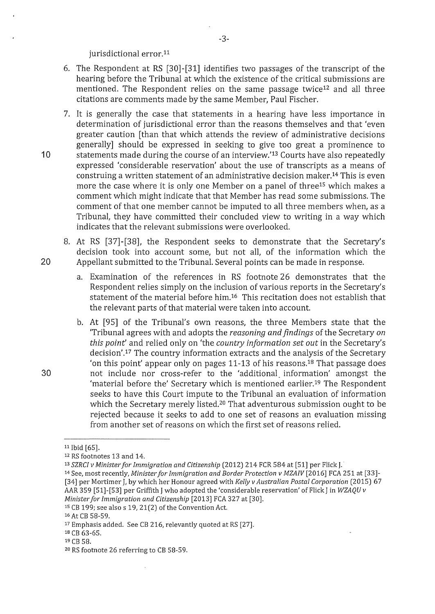jurisdictional error.<sup>11</sup>

- 6. The Respondent at RS [30]-[31] identifies two passages of the transcript of the hearing before the Tribunal at which the existence of the critical submissions are mentioned. The Respondent relies on the same passage twice<sup>12</sup> and all three citations are comments made by the same Member, Paul Fischer.
- 7. It is generally the case that statements in a hearing have less importance in determination of jurisdictional error than the reasons themselves and that 'even greater caution [than that which attends the review of administrative decisions generally] should be expressed in seeking to give too great a prominence to 10 statements made during the course of an interview.'13 Courts have also repeatedly expressed 'considerable reservation' about the use of transcripts as a means of construing a written statement of an administrative decision maker.14 This is even more the case where it is only one Member on a panel of three<sup>15</sup> which makes a comment which might indicate that that Member has read some submissions. The comment of that one member cannot be imputed to all three members when, as a Tribunal, they have committed their concluded view to writing in a way which indicates that the relevant submissions were overlooked.
- 8. At RS [37]-[38], the Respondent seeks to demonstrate that the Secretary's decision took into account some, but not all, of the information which the 20 Appellant submitted to the Tribunal. Several points can be made in response.
	- a. Examination of the references in RS footnote 26 demonstrates that the Respondent relies simply on the inclusion of various reports in the Secretary's statement of the material before him.<sup>16</sup> This recitation does not establish that the relevant parts of that material were taken into account.
- b. At [95] of the Tribunal's own reasons, the three Members state that the 'Tribunal agrees with and adopts the *reasoning and findings* of the Secretary *on this point'* and relied only on 'the *country information set out* in the Secretary's decision'.<sup>17</sup> The country information extracts and the analysis of the Secretary 'on this point' appear only on pages 11-13 of his reasons.<sup>18</sup> That passage does 30 not include nor cross-refer to the 'additional. information' amongst the 'material before the' Secretary which is mentioned earlier.19 The Respondent seeks to have this Court impute to the Tribunal an evaluation of information which the Secretary merely listed.<sup>20</sup> That adventurous submission ought to be rejected because it seeks to add to one set of reasons an evaluation missing from another set of reasons on which the first set of reasons relied.

<sup>11</sup> Ibid [65].

<sup>12</sup> RS footnotes 13 and 14.

<sup>&</sup>lt;sup>13</sup> SZRCI v Minister for Immigration and Citizenship (2012) 214 FCR 584 at [51] per Flick J.<br><sup>14</sup> See, most recently, Minister for Immigration and Border Protection v MZAIV [2016] FCA 251 at [33]-[34] per Mortimer J, by which her Honour agreed with *Kelly v Australian Postal Corporation* (2015) 67 AAR 359 [51]-[53] per Griffith J who adopted the 'considerable reservation' of Flick J in *WZAQU v Minister for Immigration and Citizenship* [2013] FCA 327 at [30].<br><sup>15</sup> CB 199; see also s 19, 21(2) of the Convention Act.<br><sup>16</sup> At CB 58-59.

<sup>17</sup> Emphasis added. See CB 216, relevantly quoted at RS [27].

<sup>&</sup>lt;sup>18</sup> CB 63-65.<br><sup>19</sup> CB 58.

<sup>2</sup>o RS footnote 26 referring to CB 58-59.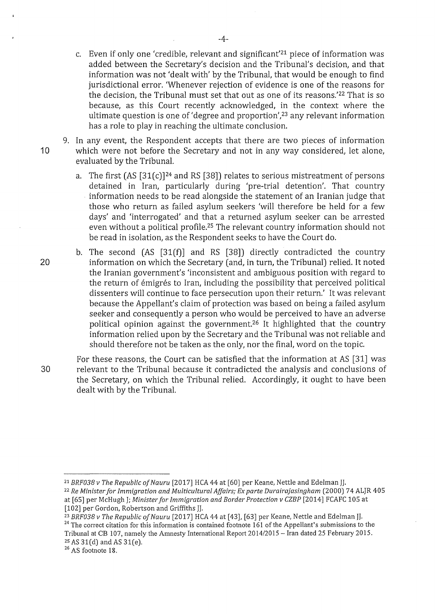- c. Even if only one 'credible, relevant and significant'21 piece of information was added between the Secretary's decision and the Tribunal's decision, and that information was not 'dealt with' by the Tribunal, that would be enough to find jurisdictional error. 'Whenever rejection of evidence is one of the reasons for the decision, the Tribunal must set that out as one of its reasons.<sup>'22</sup> That is so because, as this Court recently acknowledged, in the context where the ultimate question is one of 'degree and proportion',<sup>23</sup> any relevant information has a role to play in reaching the ultimate conclusion.
- 9. In any event, the Respondent accepts that there are two pieces of information 10 which were not before the Secretary and not in any way considered, let alone, evaluated by the Tribunal.
	- a. The first  $(AS [31(c)]^{24}$  and RS  $[38]$ ) relates to serious mistreatment of persons detained in Iran, particularly during 'pre-trial detention'. That country information needs to be read alongside the statement of an Iranian judge that those who return as failed asylum seekers 'will therefore be held for a few days' and 'interrogated' and that a returned asylum seeker can be arrested even without a political profile.25 The relevant country information should not be read in isolation, as the Respondent seeks to have the Court do.
- b. The second (AS [31(f)] and RS [38]) directly contradicted the country 20 information on which the Secretary (and, in turn, the Tribunal) relied. It noted the Iranian government's 'inconsistent and ambiguous position with regard to the return of émigrés to Iran, including the possibility that perceived political dissenters will continue to face persecution upon their return.' It was relevant because the Appellant's claim of protection was based on being a failed asylum seeker and consequently a person who would be perceived to have an adverse political opinion against the government.26 It highlighted that the country information relied upon by the Secretary and the Tribunal was not reliable and should therefore not be taken as the only, nor the final, word on the topic.

For these reasons, the Court can be satisfied that the information at AS [31] was 30 relevant to the Tribunal because it contradicted the analysis and conclusions of the Secretary, on which the Tribunal relied. Accordingly, it ought to have been dealt with by the Tribunal.

<sup>&</sup>lt;sup>21</sup> BRF038 v The Republic of Nauru [2017] HCA 44 at [60] per Keane, Nettle and Edelman JJ.<br><sup>22</sup> Re Minister for Immigration and Multicultural Affairs; Ex parte Durairajasingham (2000) 74 ALJR 405 at [65] per McHugh J; *Minister for Immigration and Border Protection v CZBP* [2014] FCAFC 105 at

<sup>[102]</sup> per Gordon, Robertson and Griffiths JJ.<br><sup>23</sup> BRF038 v The Republic of Nauru [2017] HCA 44 at [43], [63] per Keane, Nettle and Edelman JJ.

<sup>&</sup>lt;sup>24</sup> The correct citation for this information is contained footnote 161 of the Appellant's submissions to the Tribunal at CB 107, namely the Amnesty International Report 2014/2015- Iran dated 25 February 2015. <sup>25</sup> AS 31(d) and AS 31(e).  $26$  AS footnote 18.